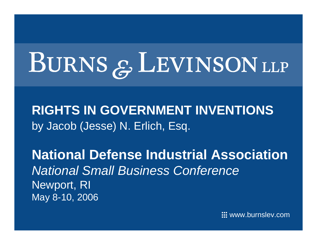# BURNS & LEVINSON LLP

**RIGHTS IN GOVERNMENT INVENTIONS**by Jacob (Jesse) N. Erlich, Esq.

**National Defense Industrial Association***National Small Business Conference* Newport, RI May 8-10, 2006

 $\quad \ \ \, \mathrel{\mathop:}$ : www.burnslev.com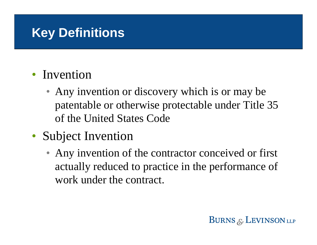# **Key Definitions**

### • Invention

- Any invention or discovery which is or may be patentable or otherwise protectable under Title 35 of the United States Code
- Subject Invention
	- Any invention of the contractor conceived or first actually reduced to practice in the performance of work under the contract.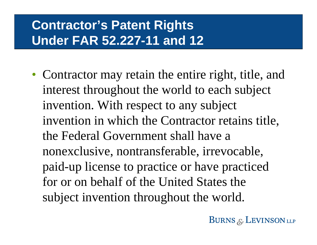# **Contractor's Patent Rights Under FAR 52.227-11 and 12**

• Contractor may retain the entire right, title, and interest throughout the world to each subject invention. With respect to any subject invention in which the Contractor retains title, the Federal Government shall have a nonexclusive, nontransferable, irrevocable, paid-up license to practice or have practiced for or on behalf of the United States the subject invention throughout the world.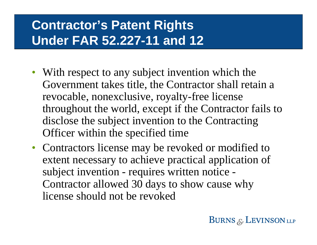# **Contractor's Patent Rights Under FAR 52.227-11 and 12**

- With respect to any subject invention which the Government takes title, the Contractor shall retain a revocable, nonexclusive, royalty-free license throughout the world, except if the Contractor fails to disclose the subject invention to the Contracting Officer within the specified time
- Contractors license may be revoked or modified to extent necessary to achieve practical application of subject invention - requires written notice - Contractor allowed 30 days to show cause why license should not be revoked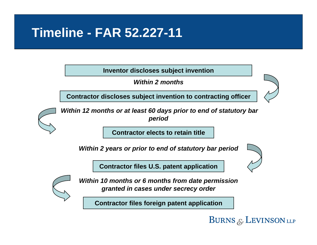## **Timeline - FAR 52.227-11**

**Inventor discloses subject invention**

*Within 2 months*

**Contractor discloses subject invention to contracting officer**

*Within 12 months or at least 60 days prior to end of statutory bar period*

**Contractor elects to retain title**

*Within 2 years or prior to end of statutory bar period*

**Contractor files U.S. patent application**



*Within 10 months or 6 months from date permission granted in cases under secrecy order*

**Contractor files foreign patent application**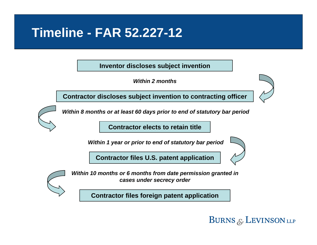## **Timeline - FAR 52.227-12**

**Inventor discloses subject invention**

*Within 2 months*

**Contractor discloses subject invention to contracting officer**

*Within 8 months or at least 60 days prior to end of statutory bar period*

**Contractor elects to retain title**

*Within 1 year or prior to end of statutory bar period*

**Contractor files U.S. patent application**



*Within 10 months or 6 months from date permission granted in cases under secrecy order*

**Contractor files foreign patent application**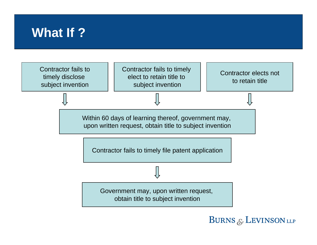## **What If ?**

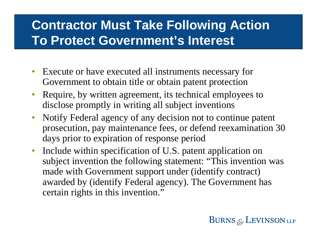# **Contractor Must Take Following Action To Protect Government's Interest**

- Execute or have executed all instruments necessary for Government to obtain title or obtain patent protection
- $\bullet$  Require, by written agreement, its technical employees to disclose promptly in writing all subject inventions
- Notify Federal agency of any decision not to continue patent prosecution, pay maintenance fees, or defend reexamination 30 days prior to expiration of response period
- $\bullet$  Include within specification of U.S. patent application on subject invention the following statement: "This invention was made with Government support under (identify contract) awarded by (identify Federal agency). The Government has certain rights in this invention."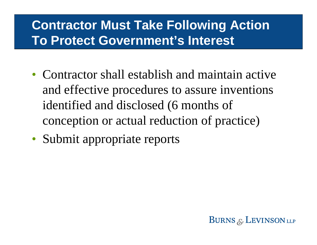# **Contractor Must Take Following Action To Protect Government's Interest**

- Contractor shall establish and maintain active and effective procedures to assure inventions identified and disclosed (6 months of conception or actual reduction of practice)
- Submit appropriate reports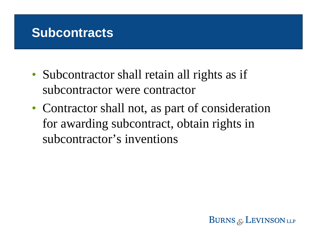## **Subcontracts**

- Subcontractor shall retain all rights as if subcontractor were contractor
- Contractor shall not, as part of consideration for awarding subcontract, obtain rights in subcontractor's inventions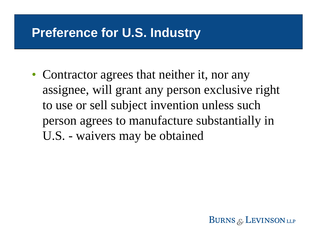## **Preference for U.S. Industry**

• Contractor agrees that neither it, nor any assignee, will grant any person exclusive right to use or sell subject invention unless such person agrees to manufacture substantially in U.S. - waivers may be obtained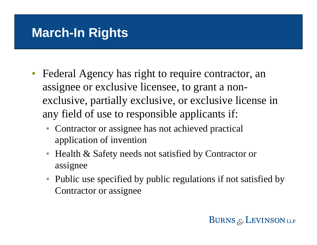## **March-In Rights**

- Federal Agency has right to require contractor, an assignee or exclusive licensee, to grant a nonexclusive, partially exclusive, or exclusive license in any field of use to responsible applicants if:
	- Contractor or assignee has not achieved practical application of invention
	- Health & Safety needs not satisfied by Contractor or assignee
	- Public use specified by public regulations if not satisfied by Contractor or assignee